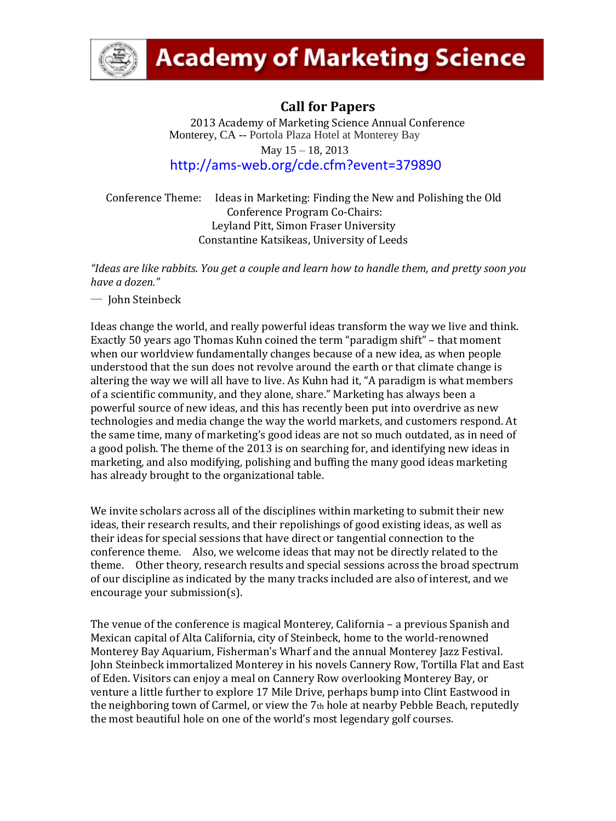

# **Academy of Marketing Science**

# **Call for Papers**

2013 Academy of Marketing Science Annual Conference Monterey, CA -- Portola Plaza Hotel at Monterey Bay May 15 – 18, 2013

<http://ams-web.org/cde.cfm?event=379890>

Conference Theme: Ideas in Marketing: Finding the New and Polishing the Old Conference Program Co-Chairs: Leyland Pitt, Simon Fraser University Constantine Katsikeas, University of Leeds

*"Ideas are like rabbits. You get a couple and learn how to handle them, and pretty soon you have a dozen."* 

― John Steinbeck

Ideas change the world, and really powerful ideas transform the way we live and think. Exactly 50 years ago Thomas Kuhn coined the term "paradigm shift" – that moment when our worldview fundamentally changes because of a new idea, as when people understood that the sun does not revolve around the earth or that climate change is altering the way we will all have to live. As Kuhn had it, "A paradigm is what members of a scientific community, and they alone, share." Marketing has always been a powerful source of new ideas, and this has recently been put into overdrive as new technologies and media change the way the world markets, and customers respond. At the same time, many of marketing's good ideas are not so much outdated, as in need of a good polish. The theme of the 2013 is on searching for, and identifying new ideas in marketing, and also modifying, polishing and buffing the many good ideas marketing has already brought to the organizational table.

We invite scholars across all of the disciplines within marketing to submit their new ideas, their research results, and their repolishings of good existing ideas, as well as their ideas for special sessions that have direct or tangential connection to the conference theme. Also, we welcome ideas that may not be directly related to the theme. Other theory, research results and special sessions across the broad spectrum of our discipline as indicated by the many tracks included are also of interest, and we encourage your submission(s).

The venue of the conference is magical Monterey, California – a previous Spanish and Mexican capital of Alta California, city of Steinbeck, home to the world-renowned Monterey Bay Aquarium, Fisherman's Wharf and the annual Monterey Jazz Festival. John Steinbeck immortalized Monterey in his novels Cannery Row, Tortilla Flat and East of Eden. Visitors can enjoy a meal on Cannery Row overlooking Monterey Bay, or venture a little further to explore 17 Mile Drive, perhaps bump into Clint Eastwood in the neighboring town of Carmel, or view the  $7<sub>th</sub>$  hole at nearby Pebble Beach, reputedly the most beautiful hole on one of the world's most legendary golf courses.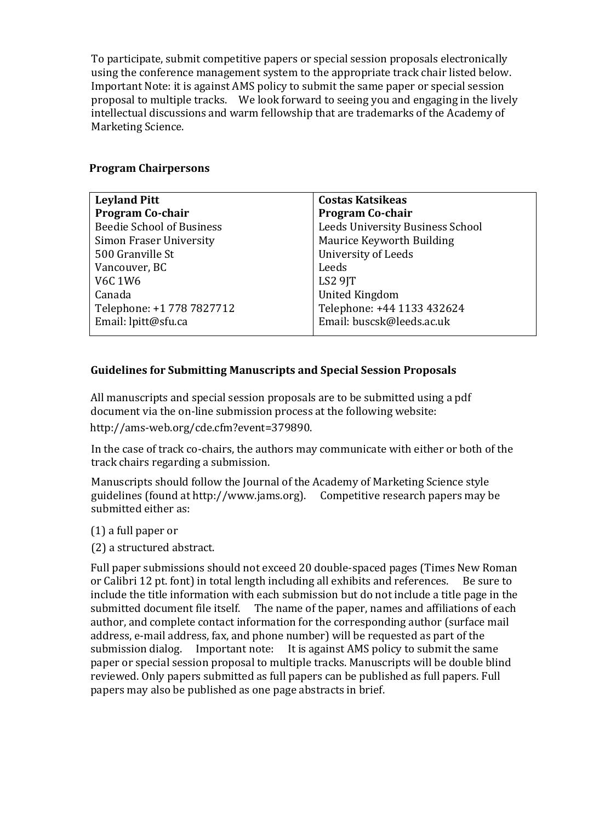To participate, submit competitive papers or special session proposals electronically using the conference management system to the appropriate track chair listed below. Important Note: it is against AMS policy to submit the same paper or special session proposal to multiple tracks. We look forward to seeing you and engaging in the lively intellectual discussions and warm fellowship that are trademarks of the Academy of Marketing Science.

# **Program Chairpersons**

| <b>Costas Katsikeas</b>          |
|----------------------------------|
| <b>Program Co-chair</b>          |
| Leeds University Business School |
| Maurice Keyworth Building        |
| University of Leeds              |
| Leeds                            |
| LS2 9JT                          |
| <b>United Kingdom</b>            |
| Telephone: +44 1133 432624       |
| Email: buscsk@leeds.ac.uk        |
|                                  |

# **Guidelines for Submitting Manuscripts and Special Session Proposals**

All manuscripts and special session proposals are to be submitted using a pdf document via the on-line submission process at the following website: [http://ams-web.org/cde.cfm?event=379890.](http://ams-web.org/cde.cfm?event=379890)

In the case of track co-chairs, the authors may communicate with either or both of the track chairs regarding a submission.

Manuscripts should follow the Journal of the Academy of Marketing Science style guidelines (found at http://www.jams.org). Competitive research papers may be submitted either as:

- (1) a full paper or
- (2) a structured abstract.

Full paper submissions should not exceed 20 double-spaced pages (Times New Roman or Calibri 12 pt. font) in total length including all exhibits and references. Be sure to include the title information with each submission but do not include a title page in the submitted document file itself. The name of the paper, names and affiliations of each author, and complete contact information for the corresponding author (surface mail address, e-mail address, fax, and phone number) will be requested as part of the submission dialog. Important note: It is against AMS policy to submit the same paper or special session proposal to multiple tracks. Manuscripts will be double blind reviewed. Only papers submitted as full papers can be published as full papers. Full papers may also be published as one page abstracts in brief.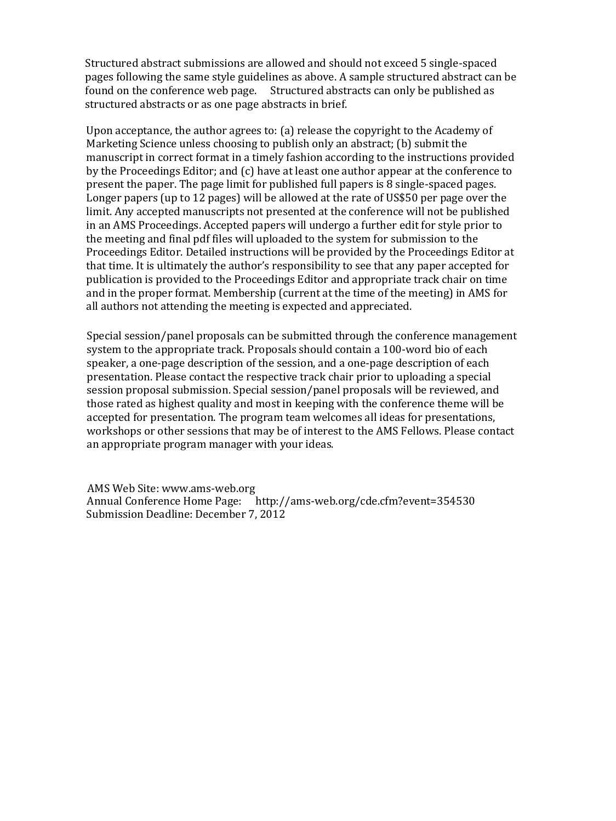Structured abstract submissions are allowed and should not exceed 5 single-spaced pages following the same style guidelines as above. A sample structured abstract can be found on the conference web page. Structured abstracts can only be published as structured abstracts or as one page abstracts in brief.

 Marketing Science unless choosing to publish only an abstract; (b) submit the limit. Any accepted manuscripts not presented at the conference will not be published Upon acceptance, the author agrees to: (a) release the copyright to the Academy of manuscript in correct format in a timely fashion according to the instructions provided by the Proceedings Editor; and (c) have at least one author appear at the conference to present the paper. The page limit for published full papers is 8 single-spaced pages. Longer papers (up to 12 pages) will be allowed at the rate of US\$50 per page over the in an AMS Proceedings. Accepted papers will undergo a further edit for style prior to the meeting and final pdf files will uploaded to the system for submission to the Proceedings Editor. Detailed instructions will be provided by the Proceedings Editor at that time. It is ultimately the author's responsibility to see that any paper accepted for publication is provided to the Proceedings Editor and appropriate track chair on time and in the proper format. Membership (current at the time of the meeting) in AMS for all authors not attending the meeting is expected and appreciated.

 workshops or other sessions that may be of interest to the AMS Fellows. Please contact Special session/panel proposals can be submitted through the conference management system to the appropriate track. Proposals should contain a 100-word bio of each speaker, a one-page description of the session, and a one-page description of each presentation. Please contact the respective track chair prior to uploading a special session proposal submission. Special session/panel proposals will be reviewed, and those rated as highest quality and most in keeping with the conference theme will be accepted for presentation. The program team welcomes all ideas for presentations, an appropriate program manager with your ideas.

AMS Web Site: www.ams-web.org Annual Conference Home Page: http://ams-web.org/cde.cfm?event=354530 Submission Deadline: December 7, 2012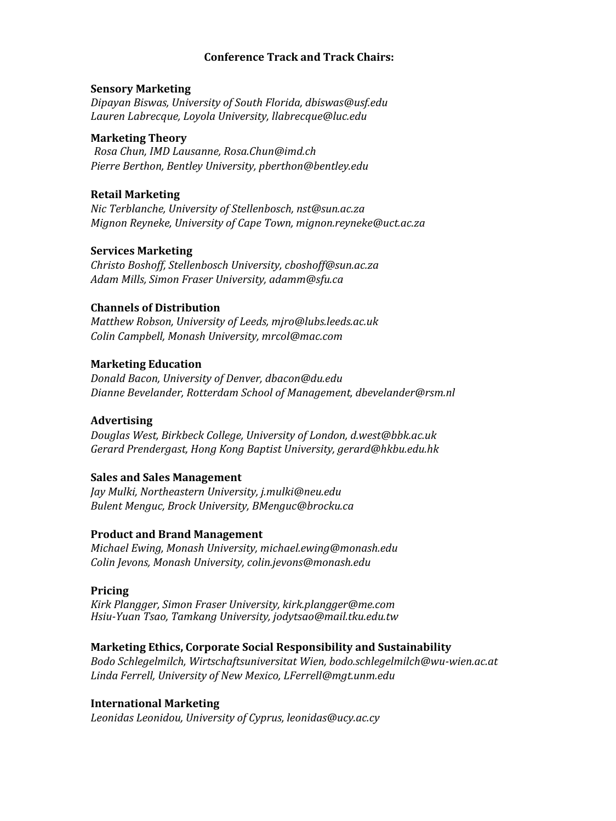# **Conference Track and Track Chairs:**

### **Sensory Marketing**

*Dipayan Biswas, University of South Florida, dbiswas@usf.edu Lauren Labrecque, Loyola University, llabrecque@luc.edu*

# **Marketing Theory**

*Rosa Chun, IMD Lausanne, Rosa.Chun@imd.ch Pierre Berthon, Bentley University, pberthon@bentley.edu* 

# **Retail Marketing**

*Nic Terblanche, University of Stellenbosch, nst@sun.ac.za Mignon Reyneke, University of Cape Town, mignon.reyneke@uct.ac.za* 

### **Services Marketing**

*Christo Boshoff, Stellenbosch University, cboshoff@sun.ac.za Adam Mills, Simon Fraser University, adamm@sfu.ca* 

### **Channels of Distribution**

*Matthew Robson, University of Leeds, mjro@lubs.leeds.ac.uk Colin Campbell, Monash University, mrcol@mac.com* 

### **Marketing Education**

*Donald Bacon, University of Denver, dbacon@du.edu Dianne Bevelander, Rotterdam School of Management, dbevelander@rsm.nl* 

#### **Advertising**

*Douglas West, Birkbeck College, University of London, d.west@bbk.ac.uk Gerard Prendergast, Hong Kong Baptist University, gerard@hkbu.edu.hk* 

# **Sales and Sales Management**

*Jay Mulki, Northeastern University, j.mulki@neu.edu Bulent Menguc, Brock University, BMenguc@brocku.ca* 

# **Product and Brand Management**

*Michael Ewing, Monash University, michael.ewing@monash.edu Colin Jevons, Monash University, colin.jevons@monash.edu* 

#### **Pricing**

*Kirk Plangger, Simon Fraser University, kirk.plangger@me.com Hsiu-Yuan Tsao, Tamkang University, jodytsao@mail.tku.edu.tw* 

# **Marketing Ethics, Corporate Social Responsibility and Sustainability**

*Bodo Schlegelmilch, Wirtschaftsuniversitat Wien, bodo.schlegelmilch@wu-wien.ac.at Linda Ferrell, University of New Mexico, LFerrell@mgt.unm.edu* 

#### **International Marketing**

*Leonidas Leonidou, University of Cyprus, leonidas@ucy.ac.cy*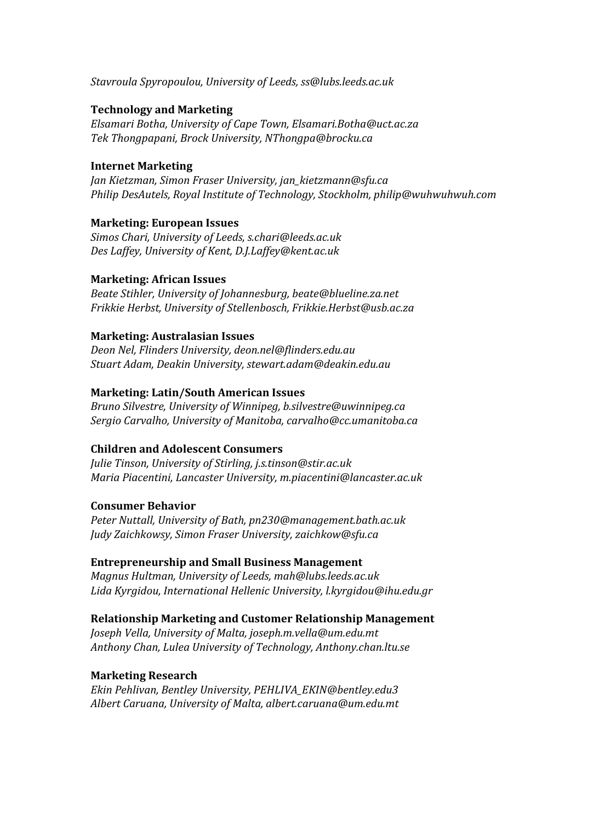*Stavroula Spyropoulou, University of Leeds, ss@lubs.leeds.ac.uk* 

### **Technology and Marketing**

*Elsamari Botha, University of Cape Town, Elsamari.Botha@uct.ac.za Tek Thongpapani, Brock University, NThongpa@brocku.ca* 

#### **Internet Marketing**

*Jan Kietzman, Simon Fraser University, jan\_kietzmann@sfu.ca Philip DesAutels, Royal Institute of Technology, Stockholm, philip@wuhwuhwuh.com* 

### **Marketing: European Issues**

*Simos Chari, University of Leeds, s.chari@leeds.ac.uk Des Laffey, University of Kent, D.J.Laffey@kent.ac.uk* 

### **Marketing: African Issues**

*Beate Stihler, University of Johannesburg, beate@blueline.za.net Frikkie Herbst, University of Stellenbosch, Frikkie.Herbst@usb.ac.za* 

### **Marketing: Australasian Issues**

*Deon Nel, Flinders University, deon.nel@flinders.edu.au Stuart Adam, Deakin University, stewart.adam@deakin.edu.au* 

### **Marketing: Latin/South American Issues**

*Bruno Silvestre, University of Winnipeg, b.silvestre@uwinnipeg.ca Sergio Carvalho, University of Manitoba, carvalho@cc.umanitoba.ca* 

# **Children and Adolescent Consumers**

*Julie Tinson, University of Stirling, j.s.tinson@stir.ac.uk Maria Piacentini, Lancaster University, m.piacentini@lancaster.ac.uk* 

#### **Consumer Behavior**

*Peter Nuttall, University of Bath, pn230@management.bath.ac.uk Judy Zaichkowsy, Simon Fraser University, zaichkow@sfu.ca* 

#### **Entrepreneurship and Small Business Management**

*Magnus Hultman, University of Leeds, mah@lubs.leeds.ac.uk Lida Kyrgidou, International Hellenic University, l.kyrgidou@ihu.edu.gr* 

# **Relationship Marketing and Customer Relationship Management**

*Joseph Vella, University of Malta, joseph.m.vella@um.edu.mt Anthony Chan, Lulea University of Technology, Anthony.chan.ltu.se* 

#### **Marketing Research**

*Ekin Pehlivan, Bentley University, PEHLIVA\_EKIN@bentley.edu3 Albert Caruana, University of Malta, albert.caruana@um.edu.mt*